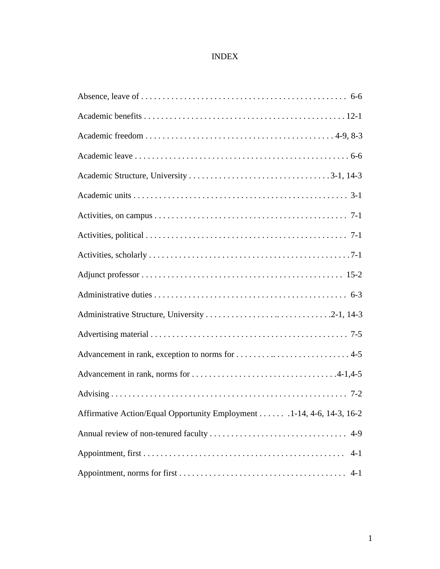## INDEX

| Affirmative Action/Equal Opportunity Employment 1-14, 4-6, 14-3, 16-2 |
|-----------------------------------------------------------------------|
|                                                                       |
| $4 - 1$                                                               |
| $4 - 1$                                                               |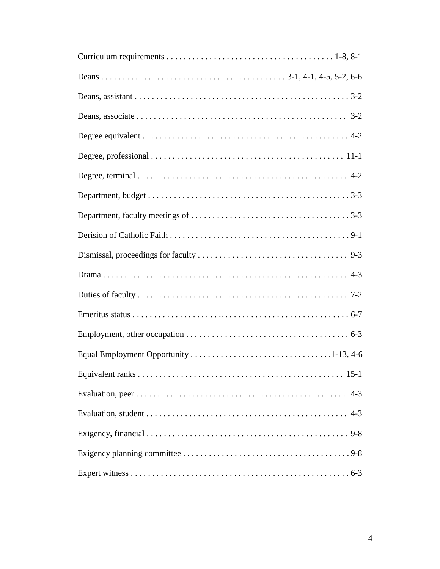| $4 - 3$ |
|---------|
|         |
|         |
|         |
|         |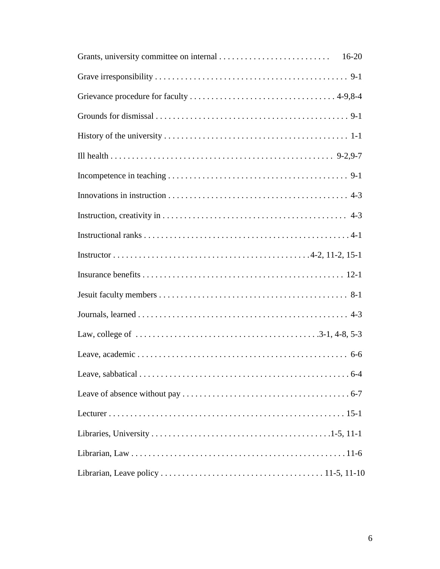| $16-20$ |
|---------|
|         |
|         |
|         |
|         |
|         |
|         |
|         |
|         |
|         |
|         |
|         |
|         |
|         |
|         |
|         |
|         |
|         |
|         |
|         |
|         |
|         |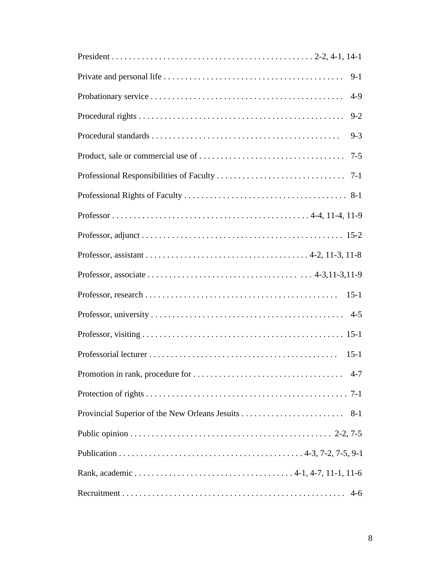| $9-1$   |
|---------|
| $4-9$   |
| $9 - 2$ |
| $9 - 3$ |
|         |
|         |
|         |
|         |
|         |
|         |
|         |
| $15-1$  |
|         |
|         |
| $15-1$  |
|         |
|         |
|         |
|         |
|         |
|         |
|         |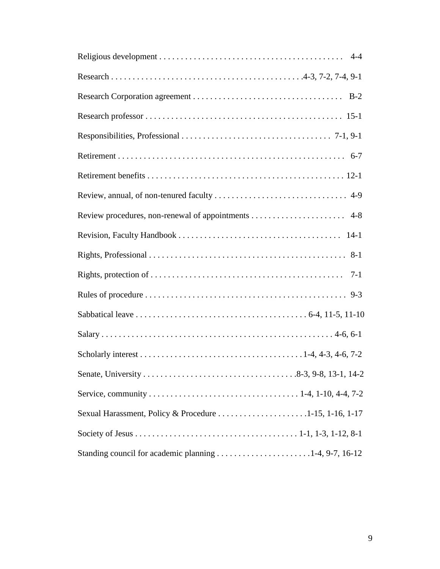| $7-1$                                                  |
|--------------------------------------------------------|
|                                                        |
|                                                        |
|                                                        |
|                                                        |
|                                                        |
|                                                        |
| Sexual Harassment, Policy & Procedure 1-15, 1-16, 1-17 |
|                                                        |
| Standing council for academic planning 1-4, 9-7, 16-12 |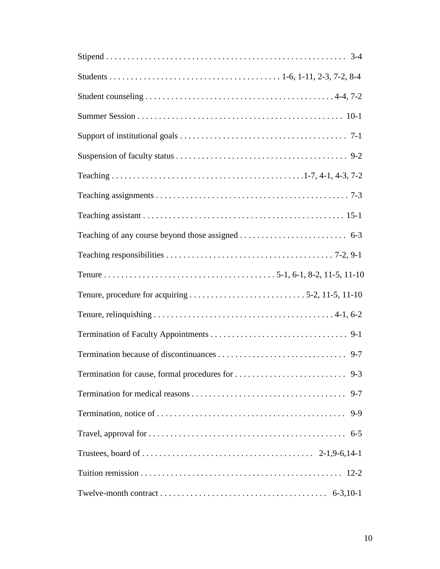| $9 - 7$ |
|---------|
| $9 - 9$ |
|         |
|         |
|         |
|         |